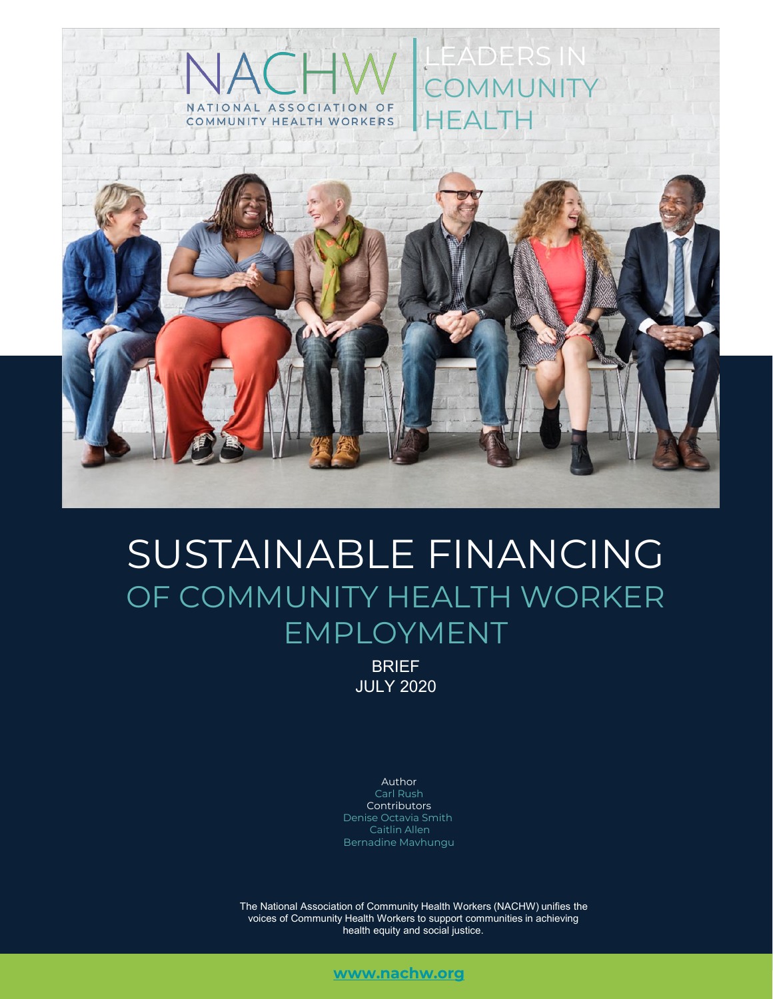

# SUSTAINABLE FINANCING OF COMMUNITY HEALTH WORKER EMPLOYMENT

BRIEF JULY 2020

Author Carl Rush **Contributors** Denise Octavia Smith Caitlin Allen Bernadine Mavhungu

The National Association of Community Health Workers (NACHW) unifies the voices of Community Health Workers to support communities in achieving health equity and social justice.

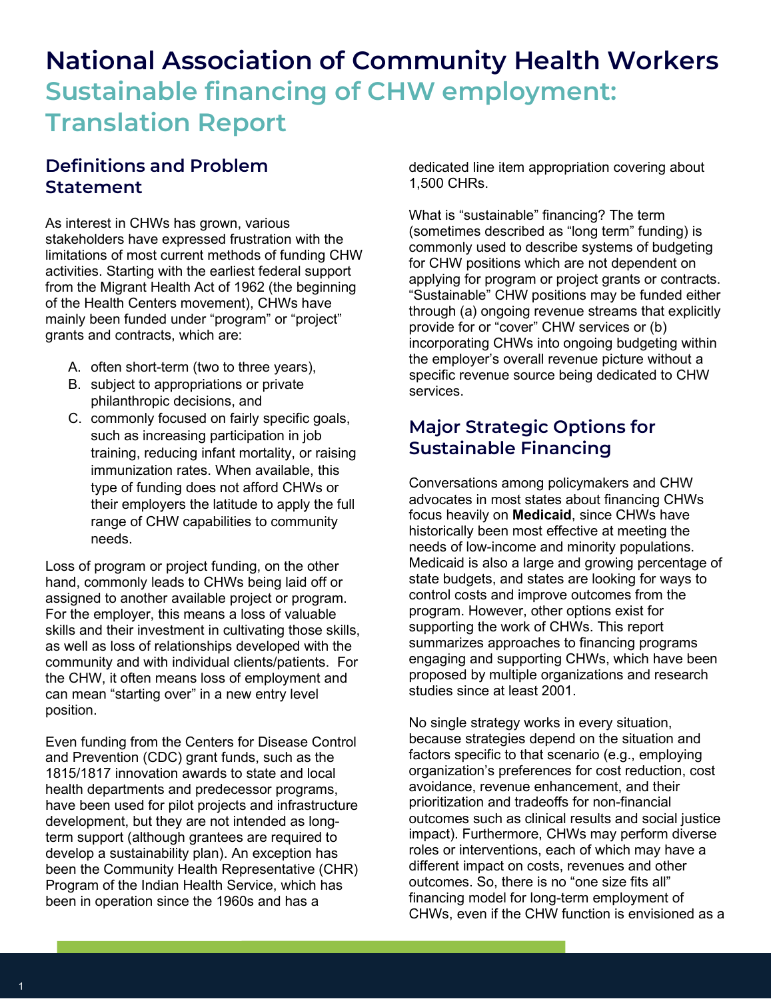# **National Association of Community Health Workers Sustainable financing of CHW employment: Translation Report**

# **Definitions and Problem Statement**

As interest in CHWs has grown, various stakeholders have expressed frustration with the limitations of most current methods of funding CHW activities. Starting with the earliest federal support from the Migrant Health Act of 1962 (the beginning of the Health Centers movement), CHWs have mainly been funded under "program" or "project" grants and contracts, which are:

- A. often short-term (two to three years),
- B. subject to appropriations or private philanthropic decisions, and
- C. commonly focused on fairly specific goals, such as increasing participation in job training, reducing infant mortality, or raising immunization rates. When available, this type of funding does not afford CHWs or their employers the latitude to apply the full range of CHW capabilities to community needs.

Loss of program or project funding, on the other hand, commonly leads to CHWs being laid off or assigned to another available project or program. For the employer, this means a loss of valuable skills and their investment in cultivating those skills, as well as loss of relationships developed with the community and with individual clients/patients. For the CHW, it often means loss of employment and can mean "starting over" in a new entry level position.

Even funding from the Centers for Disease Control and Prevention (CDC) grant funds, such as the 1815/1817 innovation awards to state and local health departments and predecessor programs, have been used for pilot projects and infrastructure development, but they are not intended as longterm support (although grantees are required to develop a sustainability plan). An exception has been the Community Health Representative (CHR) Program of the Indian Health Service, which has been in operation since the 1960s and has a

dedicated line item appropriation covering about 1,500 CHRs.

What is "sustainable" financing? The term (sometimes described as "long term" funding) is commonly used to describe systems of budgeting for CHW positions which are not dependent on applying for program or project grants or contracts. "Sustainable" CHW positions may be funded either through (a) ongoing revenue streams that explicitly provide for or "cover" CHW services or (b) incorporating CHWs into ongoing budgeting within the employer's overall revenue picture without a specific revenue source being dedicated to CHW services.

# **Major Strategic Options for Sustainable Financing**

Conversations among policymakers and CHW advocates in most states about financing CHWs focus heavily on **Medicaid**, since CHWs have historically been most effective at meeting the needs of low-income and minority populations. Medicaid is also a large and growing percentage of state budgets, and states are looking for ways to control costs and improve outcomes from the program. However, other options exist for supporting the work of CHWs. This report summarizes approaches to financing programs engaging and supporting CHWs, which have been proposed by multiple organizations and research studies since at least 2001.

No single strategy works in every situation, because strategies depend on the situation and factors specific to that scenario (e.g., employing organization's preferences for cost reduction, cost avoidance, revenue enhancement, and their prioritization and tradeoffs for non-financial outcomes such as clinical results and social justice impact). Furthermore, CHWs may perform diverse roles or interventions, each of which may have a different impact on costs, revenues and other outcomes. So, there is no "one size fits all" financing model for long-term employment of CHWs, even if the CHW function is envisioned as a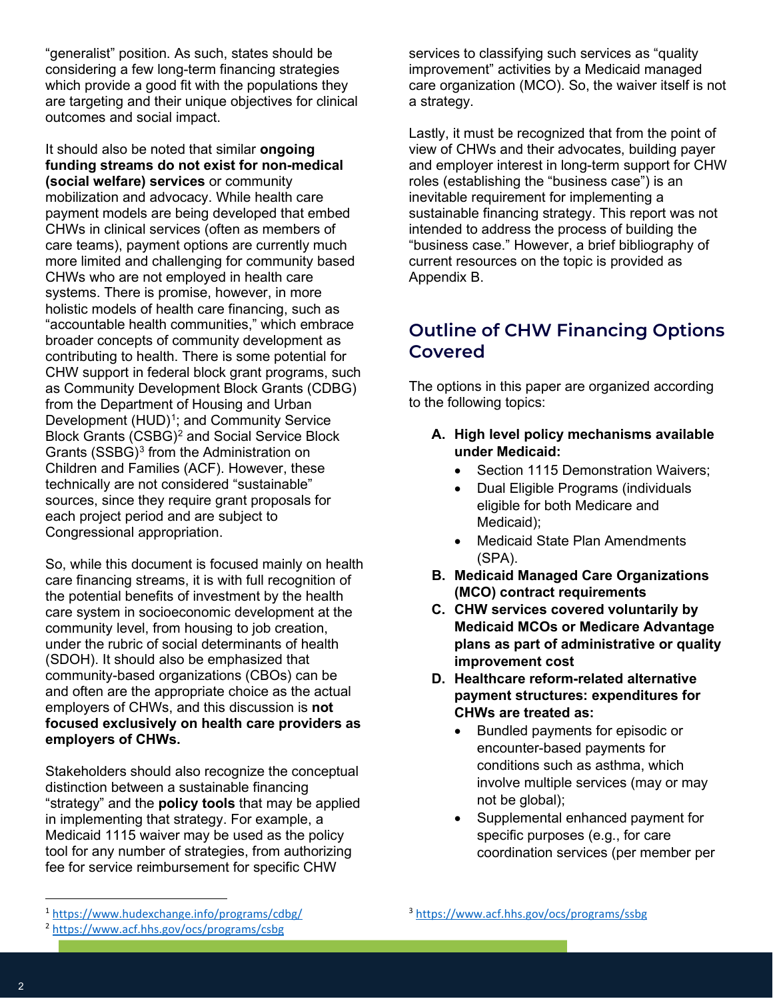"generalist" position. As such, states should be considering a few long-term financing strategies which provide a good fit with the populations they are targeting and their unique objectives for clinical outcomes and social impact.

It should also be noted that similar **ongoing funding streams do not exist for non-medical (social welfare) services** or community mobilization and advocacy. While health care payment models are being developed that embed CHWs in clinical services (often as members of care teams), payment options are currently much more limited and challenging for community based CHWs who are not employed in health care systems. There is promise, however, in more holistic models of health care financing, such as "accountable health communities," which embrace broader concepts of community development as contributing to health. There is some potential for CHW support in federal block grant programs, such as Community Development Block Grants (CDBG) from the Department of Housing and Urban Development (HUD)<sup>1</sup>; and Community Service Block Grants (CSBG)2 and Social Service Block Grants (SSBG)<sup>3</sup> from the Administration on Children and Families (ACF). However, these technically are not considered "sustainable" sources, since they require grant proposals for each project period and are subject to Congressional appropriation.

So, while this document is focused mainly on health care financing streams, it is with full recognition of the potential benefits of investment by the health care system in socioeconomic development at the community level, from housing to job creation, under the rubric of social determinants of health (SDOH). It should also be emphasized that community-based organizations (CBOs) can be and often are the appropriate choice as the actual employers of CHWs, and this discussion is **not focused exclusively on health care providers as employers of CHWs.**

Stakeholders should also recognize the conceptual distinction between a sustainable financing "strategy" and the **policy tools** that may be applied in implementing that strategy. For example, a Medicaid 1115 waiver may be used as the policy tool for any number of strategies, from authorizing fee for service reimbursement for specific CHW

services to classifying such services as "quality improvement" activities by a Medicaid managed care organization (MCO). So, the waiver itself is not a strategy.

Lastly, it must be recognized that from the point of view of CHWs and their advocates, building payer and employer interest in long-term support for CHW roles (establishing the "business case") is an inevitable requirement for implementing a sustainable financing strategy. This report was not intended to address the process of building the "business case." However, a brief bibliography of current resources on the topic is provided as Appendix B.

# **Outline of CHW Financing Options Covered**

The options in this paper are organized according to the following topics:

- **A. High level policy mechanisms available under Medicaid:**
	- Section 1115 Demonstration Waivers:
	- Dual Eligible Programs (individuals eligible for both Medicare and Medicaid);
	- Medicaid State Plan Amendments (SPA).
- **B. Medicaid Managed Care Organizations (MCO) contract requirements**
- **C. CHW services covered voluntarily by Medicaid MCOs or Medicare Advantage plans as part of administrative or quality improvement cost**
- **D. Healthcare reform-related alternative payment structures: expenditures for CHWs are treated as:**
	- Bundled payments for episodic or encounter-based payments for conditions such as asthma, which involve multiple services (may or may not be global);
	- Supplemental enhanced payment for specific purposes (e.g., for care coordination services (per member per

<sup>3</sup> <https://www.acf.hhs.gov/ocs/programs/ssbg>

<sup>1</sup> <https://www.hudexchange.info/programs/cdbg/>

<sup>2</sup> <https://www.acf.hhs.gov/ocs/programs/csbg>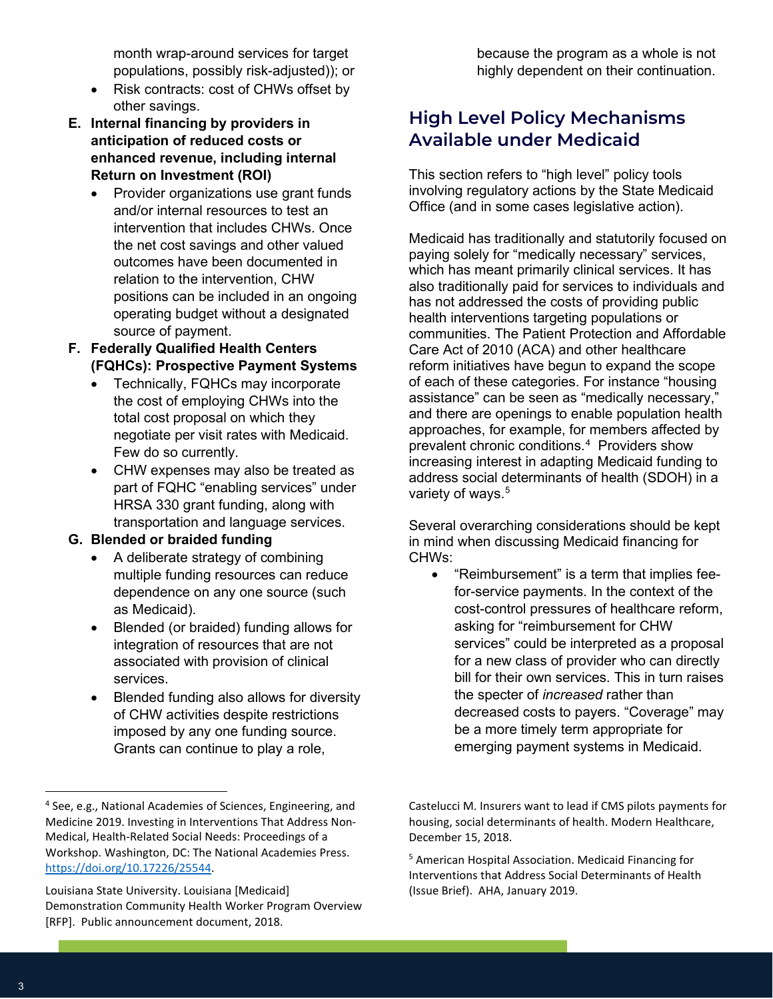month wrap-around services for target populations, possibly risk-adjusted)); or

- Risk contracts: cost of CHWs offset by other savings.
- **E. Internal financing by providers in anticipation of reduced costs or enhanced revenue, including internal Return on Investment (ROI)**
	- Provider organizations use grant funds and/or internal resources to test an intervention that includes CHWs. Once the net cost savings and other valued outcomes have been documented in relation to the intervention, CHW positions can be included in an ongoing operating budget without a designated source of payment.
- **F. Federally Qualified Health Centers (FQHCs): Prospective Payment Systems**
	- Technically, FQHCs may incorporate the cost of employing CHWs into the total cost proposal on which they negotiate per visit rates with Medicaid. Few do so currently.
	- CHW expenses may also be treated as part of FQHC "enabling services" under HRSA 330 grant funding, along with transportation and language services.

#### **G. Blended or braided funding**

- A deliberate strategy of combining multiple funding resources can reduce dependence on any one source (such as Medicaid).
- Blended (or braided) funding allows for integration of resources that are not associated with provision of clinical services.
- Blended funding also allows for diversity of CHW activities despite restrictions imposed by any one funding source. Grants can continue to play a role,

#### **High Level Policy Mechanisms Available under Medicaid**

This section refers to "high level" policy tools involving regulatory actions by the State Medicaid Office (and in some cases legislative action).

Medicaid has traditionally and statutorily focused on paying solely for "medically necessary" services, which has meant primarily clinical services. It has also traditionally paid for services to individuals and has not addressed the costs of providing public health interventions targeting populations or communities. The Patient Protection and Affordable Care Act of 2010 (ACA) and other healthcare reform initiatives have begun to expand the scope of each of these categories. For instance "housing assistance" can be seen as "medically necessary," and there are openings to enable population health approaches, for example, for members affected by prevalent chronic conditions.4 Providers show increasing interest in adapting Medicaid funding to address social determinants of health (SDOH) in a variety of ways.<sup>5</sup>

Several overarching considerations should be kept in mind when discussing Medicaid financing for CHWs:

• "Reimbursement" is a term that implies feefor-service payments. In the context of the cost-control pressures of healthcare reform, asking for "reimbursement for CHW services" could be interpreted as a proposal for a new class of provider who can directly bill for their own services. This in turn raises the specter of *increased* rather than decreased costs to payers. "Coverage" may be a more timely term appropriate for emerging payment systems in Medicaid.

<sup>4</sup> See, e.g., National Academies of Sciences, Engineering, and Medicine 2019. Investing in Interventions That Address Non-Medical, Health-Related Social Needs: Proceedings of a Workshop. Washington, DC: The National Academies Press. [https://doi.org/10.17226/25544.](https://doi.org/10.17226/25544)

Louisiana State University. Louisiana [Medicaid] Demonstration Community Health Worker Program Overview [RFP]. Public announcement document, 2018.

Castelucci M. Insurers want to lead if CMS pilots payments for housing, social determinants of health. Modern Healthcare, December 15, 2018.

<sup>5</sup> American Hospital Association. Medicaid Financing for Interventions that Address Social Determinants of Health (Issue Brief). AHA, January 2019.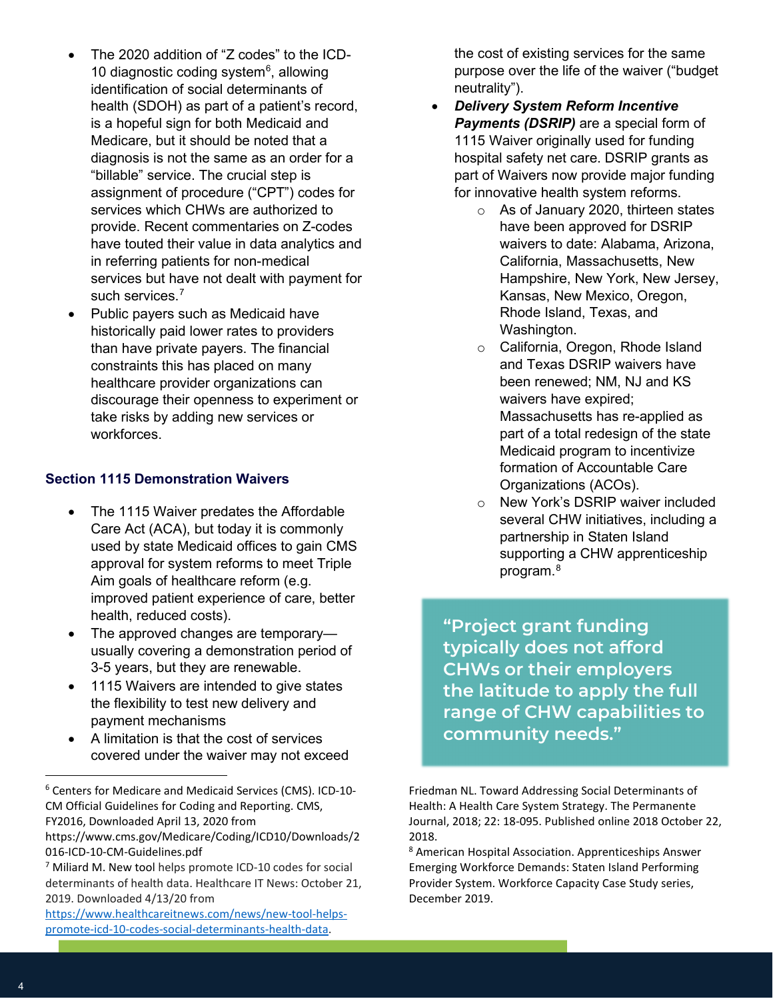- The 2020 addition of "Z codes" to the ICD-10 diagnostic coding system<sup>6</sup>, allowing identification of social determinants of health (SDOH) as part of a patient's record, is a hopeful sign for both Medicaid and Medicare, but it should be noted that a diagnosis is not the same as an order for a "billable" service. The crucial step is assignment of procedure ("CPT") codes for services which CHWs are authorized to provide. Recent commentaries on Z-codes have touted their value in data analytics and in referring patients for non-medical services but have not dealt with payment for such services.<sup>7</sup>
- Public payers such as Medicaid have historically paid lower rates to providers than have private payers. The financial constraints this has placed on many healthcare provider organizations can discourage their openness to experiment or take risks by adding new services or workforces.

#### **Section 1115 Demonstration Waivers**

- The 1115 Waiver predates the Affordable Care Act (ACA), but today it is commonly used by state Medicaid offices to gain CMS approval for system reforms to meet Triple Aim goals of healthcare reform (e.g. improved patient experience of care, better health, reduced costs).
- The approved changes are temporary usually covering a demonstration period of 3-5 years, but they are renewable.
- 1115 Waivers are intended to give states the flexibility to test new delivery and payment mechanisms
- A limitation is that the cost of services covered under the waiver may not exceed

<sup>6</sup> Centers for Medicare and Medicaid Services (CMS). ICD-10- CM Official Guidelines for Coding and Reporting. CMS, FY2016, Downloaded April 13, 2020 from

<sup>7</sup> Miliard M. New tool helps promote ICD-10 codes for social determinants of health data. Healthcare IT News: October 21, 2019. Downloaded 4/13/20 from

the cost of existing services for the same purpose over the life of the waiver ("budget neutrality").

- x *Delivery System Reform Incentive Payments (DSRIP)* are a special form of 1115 Waiver originally used for funding hospital safety net care. DSRIP grants as part of Waivers now provide major funding for innovative health system reforms.
	- o As of January 2020, thirteen states have been approved for DSRIP waivers to date: Alabama, Arizona, California, Massachusetts, New Hampshire, New York, New Jersey, Kansas, New Mexico, Oregon, Rhode Island, Texas, and Washington.
	- o California, Oregon, Rhode Island and Texas DSRIP waivers have been renewed; NM, NJ and KS waivers have expired; Massachusetts has re-applied as part of a total redesign of the state Medicaid program to incentivize formation of Accountable Care Organizations (ACOs).
	- o New York's DSRIP waiver included several CHW initiatives, including a partnership in Staten Island supporting a CHW apprenticeship program.8

**"Project grant funding typically does not afford CHWs or their employers the latitude to apply the full range of CHW capabilities to community needs."**

Friedman NL. Toward Addressing Social Determinants of Health: A Health Care System Strategy. The Permanente Journal, 2018; 22: 18-095. Published online 2018 October 22, 2018.

<sup>8</sup> American Hospital Association. Apprenticeships Answer Emerging Workforce Demands: Staten Island Performing Provider System. Workforce Capacity Case Study series, December 2019.

https://www.cms.gov/Medicare/Coding/ICD10/Downloads/2 016-ICD-10-CM-Guidelines.pdf

[https://www.healthcareitnews.com/news/new-tool-helps](https://www.healthcareitnews.com/news/new-tool-helps-promote-icd-10-codes-social-determinants-health-data)[promote-icd-10-codes-social-determinants-health-data.](https://www.healthcareitnews.com/news/new-tool-helps-promote-icd-10-codes-social-determinants-health-data)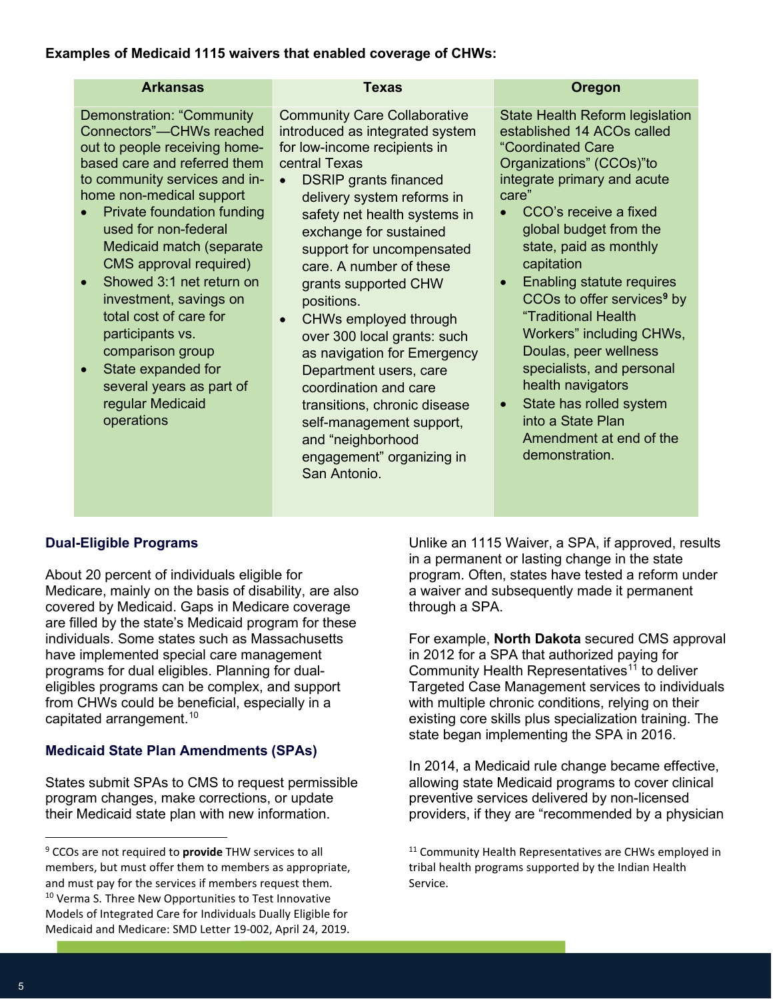#### **Examples of Medicaid 1115 waivers that enabled coverage of CHWs:**

| <b>Arkansas</b>                                                                                                                                                                                                                                                                                                                                                                                                                                                                                                          | <b>Texas</b>                                                                                                                                                                                                                                                                                                                                                                                                                                                                                                                                                                                                                       | Oregon                                                                                                                                                                                                                                                                                                                                                                                                                                                                                                                                                                         |
|--------------------------------------------------------------------------------------------------------------------------------------------------------------------------------------------------------------------------------------------------------------------------------------------------------------------------------------------------------------------------------------------------------------------------------------------------------------------------------------------------------------------------|------------------------------------------------------------------------------------------------------------------------------------------------------------------------------------------------------------------------------------------------------------------------------------------------------------------------------------------------------------------------------------------------------------------------------------------------------------------------------------------------------------------------------------------------------------------------------------------------------------------------------------|--------------------------------------------------------------------------------------------------------------------------------------------------------------------------------------------------------------------------------------------------------------------------------------------------------------------------------------------------------------------------------------------------------------------------------------------------------------------------------------------------------------------------------------------------------------------------------|
| Demonstration: "Community<br>Connectors"-CHWs reached<br>out to people receiving home-<br>based care and referred them<br>to community services and in-<br>home non-medical support<br>Private foundation funding<br>used for non-federal<br>Medicaid match (separate<br>CMS approval required)<br>Showed 3:1 net return on<br>investment, savings on<br>total cost of care for<br>participants vs.<br>comparison group<br>State expanded for<br>$\bullet$<br>several years as part of<br>regular Medicaid<br>operations | <b>Community Care Collaborative</b><br>introduced as integrated system<br>for low-income recipients in<br>central Texas<br><b>DSRIP</b> grants financed<br>$\bullet$<br>delivery system reforms in<br>safety net health systems in<br>exchange for sustained<br>support for uncompensated<br>care. A number of these<br>grants supported CHW<br>positions.<br>CHWs employed through<br>over 300 local grants: such<br>as navigation for Emergency<br>Department users, care<br>coordination and care<br>transitions, chronic disease<br>self-management support,<br>and "neighborhood<br>engagement" organizing in<br>San Antonio. | <b>State Health Reform legislation</b><br>established 14 ACOs called<br>"Coordinated Care<br>Organizations" (CCOs)"to<br>integrate primary and acute<br>care"<br>CCO's receive a fixed<br>global budget from the<br>state, paid as monthly<br>capitation<br><b>Enabling statute requires</b><br>CCOs to offer services <sup>9</sup> by<br>"Traditional Health<br>Workers" including CHWs,<br>Doulas, peer wellness<br>specialists, and personal<br>health navigators<br>State has rolled system<br>$\bullet$<br>into a State Plan<br>Amendment at end of the<br>demonstration. |

#### **Dual-Eligible Programs**

About 20 percent of individuals eligible for Medicare, mainly on the basis of disability, are also covered by Medicaid. Gaps in Medicare coverage are filled by the state's Medicaid program for these individuals. Some states such as Massachusetts have implemented special care management programs for dual eligibles. Planning for dualeligibles programs can be complex, and support from CHWs could be beneficial, especially in a capitated arrangement. 10

#### **Medicaid State Plan Amendments (SPAs)**

States submit SPAs to CMS to request permissible program changes, make corrections, or update their Medicaid state plan with new information.

Unlike an 1115 Waiver, a SPA, if approved, results in a permanent or lasting change in the state program. Often, states have tested a reform under a waiver and subsequently made it permanent through a SPA.

For example, **North Dakota** secured CMS approval in 2012 for a SPA that authorized paying for Community Health Representatives<sup>11</sup> to deliver Targeted Case Management services to individuals with multiple chronic conditions, relying on their existing core skills plus specialization training. The state began implementing the SPA in 2016.

In 2014, a Medicaid rule change became effective, allowing state Medicaid programs to cover clinical preventive services delivered by non-licensed providers, if they are "recommended by a physician

<sup>11</sup> Community Health Representatives are CHWs employed in tribal health programs supported by the Indian Health Service.

<sup>9</sup> CCOs are not required to **provide** THW services to all members, but must offer them to members as appropriate, and must pay for the services if members request them. <sup>10</sup> Verma S. Three New Opportunities to Test Innovative Models of Integrated Care for Individuals Dually Eligible for Medicaid and Medicare: SMD Letter 19-002, April 24, 2019.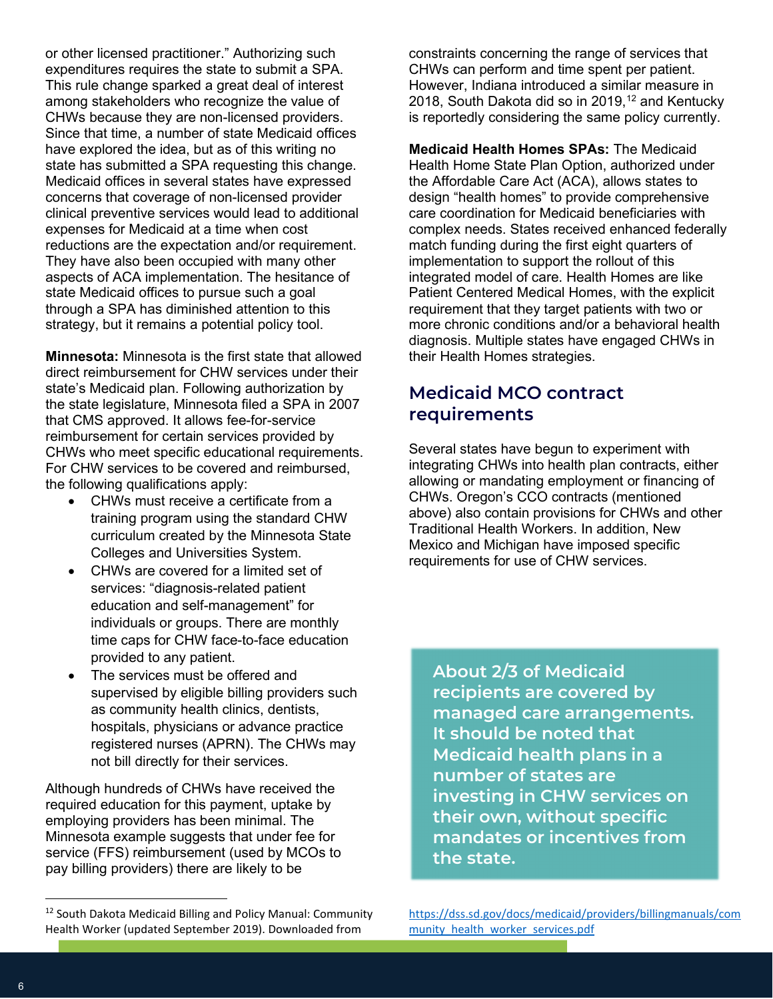or other licensed practitioner." Authorizing such expenditures requires the state to submit a SPA. This rule change sparked a great deal of interest among stakeholders who recognize the value of CHWs because they are non-licensed providers. Since that time, a number of state Medicaid offices have explored the idea, but as of this writing no state has submitted a SPA requesting this change. Medicaid offices in several states have expressed concerns that coverage of non-licensed provider clinical preventive services would lead to additional expenses for Medicaid at a time when cost reductions are the expectation and/or requirement. They have also been occupied with many other aspects of ACA implementation. The hesitance of state Medicaid offices to pursue such a goal through a SPA has diminished attention to this strategy, but it remains a potential policy tool.

**Minnesota:** Minnesota is the first state that allowed direct reimbursement for CHW services under their state's Medicaid plan. Following authorization by the state legislature, Minnesota filed a SPA in 2007 that CMS approved. It allows fee-for-service reimbursement for certain services provided by CHWs who meet specific educational requirements. For CHW services to be covered and reimbursed, the following qualifications apply:

- CHWs must receive a certificate from a training program using the standard CHW curriculum created by the Minnesota State Colleges and Universities System.
- CHWs are covered for a limited set of services: "diagnosis-related patient education and self-management" for individuals or groups. There are monthly time caps for CHW face-to-face education provided to any patient.
- The services must be offered and supervised by eligible billing providers such as community health clinics, dentists, hospitals, physicians or advance practice registered nurses (APRN). The CHWs may not bill directly for their services.

Although hundreds of CHWs have received the required education for this payment, uptake by employing providers has been minimal. The Minnesota example suggests that under fee for service (FFS) reimbursement (used by MCOs to pay billing providers) there are likely to be

constraints concerning the range of services that CHWs can perform and time spent per patient. However, Indiana introduced a similar measure in 2018, South Dakota did so in 2019, $12$  and Kentucky is reportedly considering the same policy currently.

**Medicaid Health Homes SPAs:** The Medicaid Health Home State Plan Option, authorized under the Affordable Care Act (ACA), allows states to design "health homes" to provide comprehensive care coordination for Medicaid beneficiaries with complex needs. States received enhanced federally match funding during the first eight quarters of implementation to support the rollout of this integrated model of care. Health Homes are like Patient Centered Medical Homes, with the explicit requirement that they target patients with two or more chronic conditions and/or a behavioral health diagnosis. Multiple states have engaged CHWs in their Health Homes strategies.

### **Medicaid MCO contract requirements**

Several states have begun to experiment with integrating CHWs into health plan contracts, either allowing or mandating employment or financing of CHWs. Oregon's CCO contracts (mentioned above) also contain provisions for CHWs and other Traditional Health Workers. In addition, New Mexico and Michigan have imposed specific requirements for use of CHW services.

**About 2/3 of Medicaid recipients are covered by managed care arrangements. It should be noted that Medicaid health plans in a number of states are investing in CHW services on their own, without specific mandates or incentives from the state.**

<sup>&</sup>lt;sup>12</sup> South Dakota Medicaid Billing and Policy Manual: Community Health Worker (updated September 2019). Downloaded from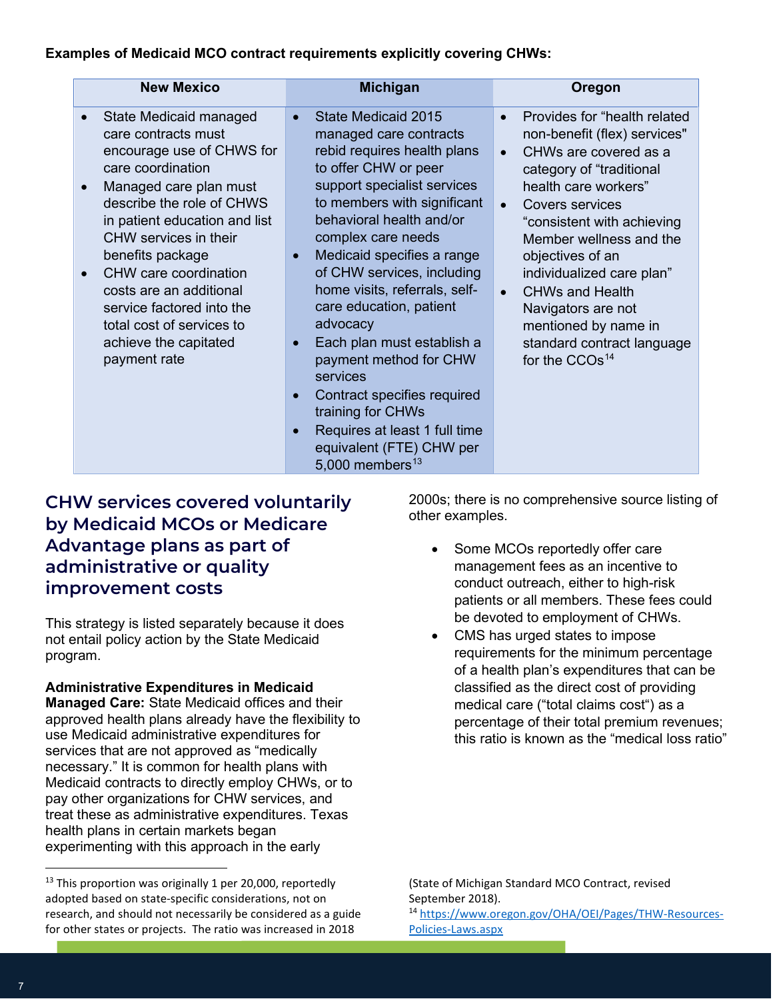#### **Examples of Medicaid MCO contract requirements explicitly covering CHWs:**

| <b>New Mexico</b>                                                                                                                                                                                                                                                                                                                                                                                                     | <b>Michigan</b>                                                                                                                                                                                                                                                                                                                                                                                                                                                                                                                                                                           | Oregon                                                                                                                                                                                                                                                                                                                                                                                                                                            |
|-----------------------------------------------------------------------------------------------------------------------------------------------------------------------------------------------------------------------------------------------------------------------------------------------------------------------------------------------------------------------------------------------------------------------|-------------------------------------------------------------------------------------------------------------------------------------------------------------------------------------------------------------------------------------------------------------------------------------------------------------------------------------------------------------------------------------------------------------------------------------------------------------------------------------------------------------------------------------------------------------------------------------------|---------------------------------------------------------------------------------------------------------------------------------------------------------------------------------------------------------------------------------------------------------------------------------------------------------------------------------------------------------------------------------------------------------------------------------------------------|
| State Medicaid managed<br>care contracts must<br>encourage use of CHWS for<br>care coordination<br>Managed care plan must<br>$\bullet$<br>describe the role of CHWS<br>in patient education and list<br>CHW services in their<br>benefits package<br>CHW care coordination<br>$\bullet$<br>costs are an additional<br>service factored into the<br>total cost of services to<br>achieve the capitated<br>payment rate | State Medicaid 2015<br>managed care contracts<br>rebid requires health plans<br>to offer CHW or peer<br>support specialist services<br>to members with significant<br>behavioral health and/or<br>complex care needs<br>Medicaid specifies a range<br>$\bullet$<br>of CHW services, including<br>home visits, referrals, self-<br>care education, patient<br>advocacy<br>Each plan must establish a<br>payment method for CHW<br>services<br>Contract specifies required<br>training for CHWs<br>Requires at least 1 full time<br>equivalent (FTE) CHW per<br>5,000 members <sup>13</sup> | Provides for "health related<br>$\bullet$<br>non-benefit (flex) services"<br>CHWs are covered as a<br>$\bullet$<br>category of "traditional<br>health care workers"<br>Covers services<br>"consistent with achieving<br>Member wellness and the<br>objectives of an<br>individualized care plan"<br><b>CHWs and Health</b><br>$\bullet$<br>Navigators are not<br>mentioned by name in<br>standard contract language<br>for the CCOs <sup>14</sup> |

#### **CHW services covered voluntarily by Medicaid MCOs or Medicare Advantage plans as part of administrative or quality improvement costs**

This strategy is listed separately because it does not entail policy action by the State Medicaid program.

**Administrative Expenditures in Medicaid Managed Care:** State Medicaid offices and their approved health plans already have the flexibility to use Medicaid administrative expenditures for services that are not approved as "medically necessary." It is common for health plans with Medicaid contracts to directly employ CHWs, or to pay other organizations for CHW services, and treat these as administrative expenditures. Texas health plans in certain markets began experimenting with this approach in the early

2000s; there is no comprehensive source listing of other examples.

- Some MCOs reportedly offer care management fees as an incentive to conduct outreach, either to high-risk patients or all members. These fees could be devoted to employment of CHWs.
- CMS has urged states to impose requirements for the minimum percentage of a health plan's expenditures that can be classified as the direct cost of providing medical care ("total claims cost") as a percentage of their total premium revenues; this ratio is known as the "medical loss ratio"

(State of Michigan Standard MCO Contract, revised September 2018). <sup>14</sup> [https://www.oregon.gov/OHA/OEI/Pages/THW-Resources-](https://www.oregon.gov/OHA/OEI/Pages/THW-Resources-Policies-Laws.aspx)

[Policies-Laws.aspx](https://www.oregon.gov/OHA/OEI/Pages/THW-Resources-Policies-Laws.aspx)

 $13$  This proportion was originally 1 per 20,000, reportedly adopted based on state-specific considerations, not on research, and should not necessarily be considered as a guide for other states or projects. The ratio was increased in 2018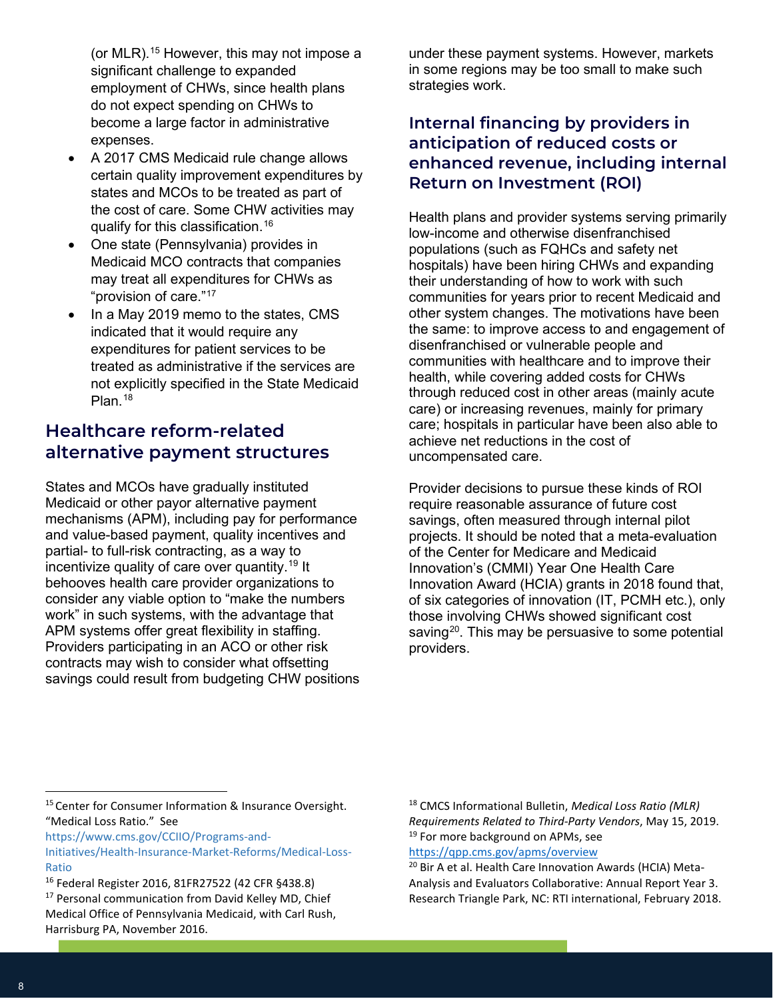(or MLR).<sup>15</sup> However, this may not impose a significant challenge to expanded employment of CHWs, since health plans do not expect spending on CHWs to become a large factor in administrative expenses.

- x A 2017 CMS Medicaid rule change allows certain quality improvement expenditures by states and MCOs to be treated as part of the cost of care. Some CHW activities may qualify for this classification.16
- One state (Pennsylvania) provides in Medicaid MCO contracts that companies may treat all expenditures for CHWs as "provision of care."17
- In a May 2019 memo to the states, CMS indicated that it would require any expenditures for patient services to be treated as administrative if the services are not explicitly specified in the State Medicaid Plan.<sup>18</sup>

### **Healthcare reform-related alternative payment structures**

States and MCOs have gradually instituted Medicaid or other payor alternative payment mechanisms (APM), including pay for performance and value-based payment, quality incentives and partial- to full-risk contracting, as a way to incentivize quality of care over quantity.19 It behooves health care provider organizations to consider any viable option to "make the numbers work" in such systems, with the advantage that APM systems offer great flexibility in staffing. Providers participating in an ACO or other risk contracts may wish to consider what offsetting savings could result from budgeting CHW positions under these payment systems. However, markets in some regions may be too small to make such strategies work.

#### **Internal financing by providers in anticipation of reduced costs or enhanced revenue, including internal Return on Investment (ROI)**

Health plans and provider systems serving primarily low-income and otherwise disenfranchised populations (such as FQHCs and safety net hospitals) have been hiring CHWs and expanding their understanding of how to work with such communities for years prior to recent Medicaid and other system changes. The motivations have been the same: to improve access to and engagement of disenfranchised or vulnerable people and communities with healthcare and to improve their health, while covering added costs for CHWs through reduced cost in other areas (mainly acute care) or increasing revenues, mainly for primary care; hospitals in particular have been also able to achieve net reductions in the cost of uncompensated care.

Provider decisions to pursue these kinds of ROI require reasonable assurance of future cost savings, often measured through internal pilot projects. It should be noted that a meta-evaluation of the Center for Medicare and Medicaid Innovation's (CMMI) Year One Health Care Innovation Award (HCIA) grants in 2018 found that, of six categories of innovation (IT, PCMH etc.), only those involving CHWs showed significant cost saving<sup>20</sup>. This may be persuasive to some potential providers.

<sup>18</sup> CMCS Informational Bulletin, *Medical Loss Ratio (MLR) Requirements Related to Third-Party Vendors*, May 15, 2019. <sup>19</sup> For more background on APMs, see <https://qpp.cms.gov/apms/overview>

<sup>20</sup> Bir A et al. Health Care Innovation Awards (HCIA) Meta-Analysis and Evaluators Collaborative: Annual Report Year 3. Research Triangle Park, NC: RTI international, February 2018.

<sup>&</sup>lt;sup>15</sup> Center for Consumer Information & Insurance Oversight. "Medical Loss Ratio." See

[https://www.cms.gov/CCIIO/Programs-and-](https://www.cms.gov/CCIIO/Programs-and-Initiatives/Health-Insurance-Market-Reforms/Medical-Loss-Ratio)

[Initiatives/Health-Insurance-Market-Reforms/Medical-Loss-](https://www.cms.gov/CCIIO/Programs-and-Initiatives/Health-Insurance-Market-Reforms/Medical-Loss-Ratio)[Ratio](https://www.cms.gov/CCIIO/Programs-and-Initiatives/Health-Insurance-Market-Reforms/Medical-Loss-Ratio)

<sup>16</sup> Federal Register 2016, 81FR27522 (42 CFR §438.8) <sup>17</sup> Personal communication from David Kelley MD, Chief Medical Office of Pennsylvania Medicaid, with Carl Rush, Harrisburg PA, November 2016.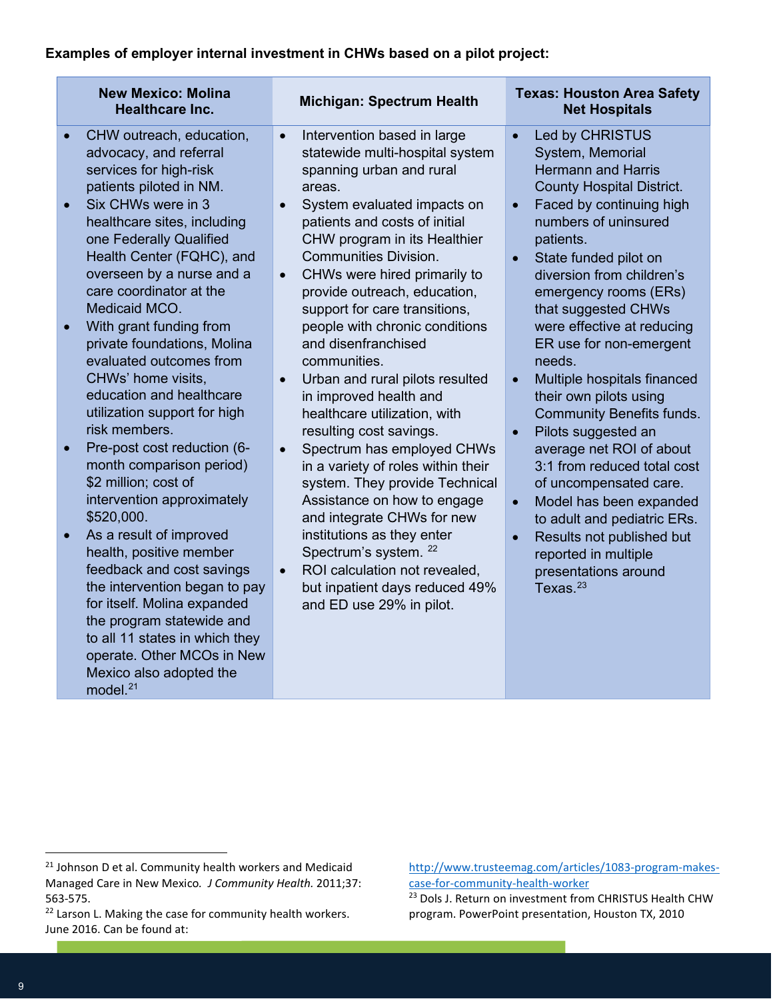#### **Examples of employer internal investment in CHWs based on a pilot project:**

|           | <b>New Mexico: Molina</b><br><b>Healthcare Inc.</b>    | <b>Michigan: Spectrum Health</b> |                                                           | <b>Texas: Houston Area Safety</b><br><b>Net Hospitals</b> |                                                       |  |
|-----------|--------------------------------------------------------|----------------------------------|-----------------------------------------------------------|-----------------------------------------------------------|-------------------------------------------------------|--|
|           | CHW outreach, education,                               | $\bullet$                        | Intervention based in large                               |                                                           | Led by CHRISTUS                                       |  |
|           | advocacy, and referral                                 |                                  | statewide multi-hospital system                           |                                                           | System, Memorial                                      |  |
|           | services for high-risk                                 |                                  | spanning urban and rural                                  |                                                           | <b>Hermann and Harris</b>                             |  |
|           | patients piloted in NM.                                |                                  | areas.                                                    |                                                           | <b>County Hospital District.</b>                      |  |
| $\bullet$ | Six CHWs were in 3                                     | $\bullet$                        | System evaluated impacts on                               |                                                           | Faced by continuing high                              |  |
|           | healthcare sites, including                            |                                  | patients and costs of initial                             |                                                           | numbers of uninsured                                  |  |
|           | one Federally Qualified                                |                                  | CHW program in its Healthier                              |                                                           | patients.                                             |  |
|           | Health Center (FQHC), and                              |                                  | <b>Communities Division.</b>                              |                                                           | State funded pilot on                                 |  |
|           | overseen by a nurse and a<br>care coordinator at the   | $\bullet$                        | CHWs were hired primarily to                              |                                                           | diversion from children's                             |  |
|           | Medicaid MCO.                                          |                                  | provide outreach, education,                              |                                                           | emergency rooms (ERs)                                 |  |
|           |                                                        |                                  | support for care transitions,                             |                                                           | that suggested CHWs                                   |  |
| $\bullet$ | With grant funding from<br>private foundations, Molina |                                  | people with chronic conditions<br>and disenfranchised     |                                                           | were effective at reducing<br>ER use for non-emergent |  |
|           | evaluated outcomes from                                |                                  | communities.                                              |                                                           | needs.                                                |  |
|           | CHWs' home visits,                                     |                                  |                                                           |                                                           |                                                       |  |
|           | education and healthcare                               | $\bullet$                        | Urban and rural pilots resulted<br>in improved health and |                                                           | Multiple hospitals financed<br>their own pilots using |  |
|           | utilization support for high                           |                                  | healthcare utilization, with                              |                                                           | <b>Community Benefits funds.</b>                      |  |
|           | risk members.                                          |                                  | resulting cost savings.                                   |                                                           | Pilots suggested an                                   |  |
| $\bullet$ | Pre-post cost reduction (6-                            | $\bullet$                        | Spectrum has employed CHWs                                |                                                           | average net ROI of about                              |  |
|           | month comparison period)                               |                                  | in a variety of roles within their                        |                                                           | 3:1 from reduced total cost                           |  |
|           | \$2 million; cost of                                   |                                  | system. They provide Technical                            |                                                           | of uncompensated care.                                |  |
|           | intervention approximately                             |                                  | Assistance on how to engage                               | $\bullet$                                                 | Model has been expanded                               |  |
|           | \$520,000.                                             |                                  | and integrate CHWs for new                                |                                                           | to adult and pediatric ERs.                           |  |
| $\bullet$ | As a result of improved                                |                                  | institutions as they enter                                |                                                           | Results not published but                             |  |
|           | health, positive member                                |                                  | Spectrum's system. <sup>22</sup>                          |                                                           | reported in multiple                                  |  |
|           | feedback and cost savings                              | $\bullet$                        | ROI calculation not revealed,                             |                                                           | presentations around                                  |  |
|           | the intervention began to pay                          |                                  | but inpatient days reduced 49%                            |                                                           | Texas. $23$                                           |  |
|           | for itself. Molina expanded                            |                                  | and ED use 29% in pilot.                                  |                                                           |                                                       |  |
|           | the program statewide and                              |                                  |                                                           |                                                           |                                                       |  |
|           | to all 11 states in which they                         |                                  |                                                           |                                                           |                                                       |  |
|           | operate. Other MCOs in New                             |                                  |                                                           |                                                           |                                                       |  |
|           | Mexico also adopted the                                |                                  |                                                           |                                                           |                                                       |  |

model. $21$ 

[http://www.trusteemag.com/articles/1083-program-makes](http://www.trusteemag.com/articles/1083-program-makes-case-for-community-health-worker)[case-for-community-health-worker](http://www.trusteemag.com/articles/1083-program-makes-case-for-community-health-worker)

<sup>&</sup>lt;sup>21</sup> Johnson D et al. Community health workers and Medicaid Managed Care in New Mexico*. J Community Health.* 2011;37: 563-575.

<sup>&</sup>lt;sup>22</sup> Larson L. Making the case for community health workers. June 2016. Can be found at:

<sup>&</sup>lt;sup>23</sup> Dols J. Return on investment from CHRISTUS Health CHW program. PowerPoint presentation, Houston TX, 2010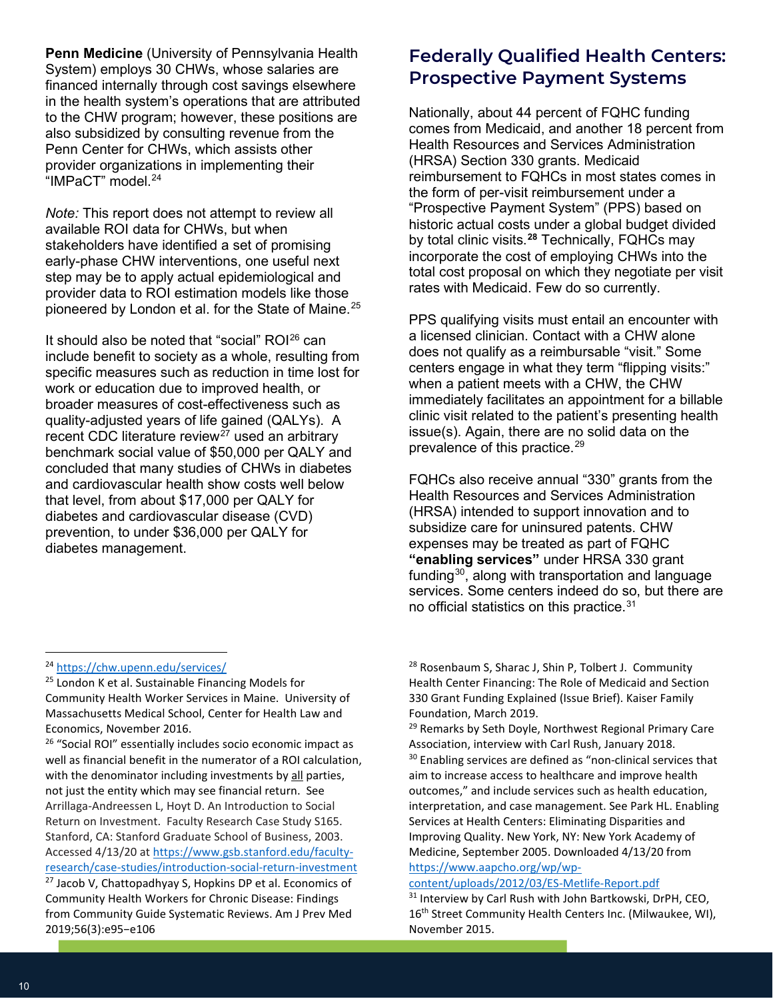**Penn Medicine** (University of Pennsylvania Health System) employs 30 CHWs, whose salaries are financed internally through cost savings elsewhere in the health system's operations that are attributed to the CHW program; however, these positions are also subsidized by consulting revenue from the Penn Center for CHWs, which assists other provider organizations in implementing their "IMPaCT" model. 24

*Note:* This report does not attempt to review all available ROI data for CHWs, but when stakeholders have identified a set of promising early-phase CHW interventions, one useful next step may be to apply actual epidemiological and provider data to ROI estimation models like those pioneered by London et al. for the State of Maine.<sup>25</sup>

It should also be noted that "social" ROI<sup>26</sup> can include benefit to society as a whole, resulting from specific measures such as reduction in time lost for work or education due to improved health, or broader measures of cost-effectiveness such as quality-adjusted years of life gained (QALYs). A recent CDC literature review<sup>27</sup> used an arbitrary benchmark social value of \$50,000 per QALY and concluded that many studies of CHWs in diabetes and cardiovascular health show costs well below that level, from about \$17,000 per QALY for diabetes and cardiovascular disease (CVD) prevention, to under \$36,000 per QALY for diabetes management.

#### <sup>24</sup> <https://chw.upenn.edu/services/>

<sup>26</sup> "Social ROI" essentially includes socio economic impact as well as financial benefit in the numerator of a ROI calculation, with the denominator including investments by all parties, not just the entity which may see financial return. See Arrillaga-Andreessen L, Hoyt D. An Introduction to Social Return on Investment. Faculty Research Case Study S165. Stanford, CA: Stanford Graduate School of Business, 2003. Accessed 4/13/20 at [https://www.gsb.stanford.edu/faculty](https://www.gsb.stanford.edu/faculty-research/case-studies/introduction-social-return-investment)[research/case-studies/introduction-social-return-investment](https://www.gsb.stanford.edu/faculty-research/case-studies/introduction-social-return-investment)  $27$  Jacob V, Chattopadhyay S, Hopkins DP et al. Economics of Community Health Workers for Chronic Disease: Findings from Community Guide Systematic Reviews. Am J Prev Med 2019;56(3):e95-e106

# **Federally Qualified Health Centers: Prospective Payment Systems**

Nationally, about 44 percent of FQHC funding comes from Medicaid, and another 18 percent from Health Resources and Services Administration (HRSA) Section 330 grants. Medicaid reimbursement to FQHCs in most states comes in the form of per-visit reimbursement under a "Prospective Payment System" (PPS) based on historic actual costs under a global budget divided by total clinic visits.**<sup>28</sup>** Technically, FQHCs may incorporate the cost of employing CHWs into the total cost proposal on which they negotiate per visit rates with Medicaid. Few do so currently.

PPS qualifying visits must entail an encounter with a licensed clinician. Contact with a CHW alone does not qualify as a reimbursable "visit." Some centers engage in what they term "flipping visits:" when a patient meets with a CHW, the CHW immediately facilitates an appointment for a billable clinic visit related to the patient's presenting health issue(s). Again, there are no solid data on the prevalence of this practice.29

FQHCs also receive annual "330" grants from the Health Resources and Services Administration (HRSA) intended to support innovation and to subsidize care for uninsured patents. CHW expenses may be treated as part of FQHC **"enabling services"** under HRSA 330 grant funding<sup>30</sup>, along with transportation and language services. Some centers indeed do so, but there are no official statistics on this practice.<sup>31</sup>

<sup>28</sup> Rosenbaum S, Sharac J, Shin P, Tolbert J. Community Health Center Financing: The Role of Medicaid and Section 330 Grant Funding Explained (Issue Brief). Kaiser Family Foundation, March 2019.

<sup>29</sup> Remarks by Seth Doyle, Northwest Regional Primary Care Association, interview with Carl Rush, January 2018.

<sup>30</sup> Enabling services are defined as "non-clinical services that aim to increase access to healthcare and improve health outcomes," and include services such as health education, interpretation, and case management. See Park HL. Enabling Services at Health Centers: Eliminating Disparities and Improving Quality. New York, NY: New York Academy of Medicine, September 2005. Downloaded 4/13/20 from [https://www.aapcho.org/wp/wp-](https://www.aapcho.org/wp/wp-content/uploads/2012/03/ES-Metlife-Report.pdf)

content/uploads/2012/03/ES-Metlife-Report.pdf<br><sup>31</sup> Interview by Carl Rush with John Bartkowski, DrPH, CEO, 16<sup>th</sup> Street Community Health Centers Inc. (Milwaukee, WI), November 2015.

<sup>25</sup> London K et al. Sustainable Financing Models for Community Health Worker Services in Maine. University of Massachusetts Medical School, Center for Health Law and Economics, November 2016.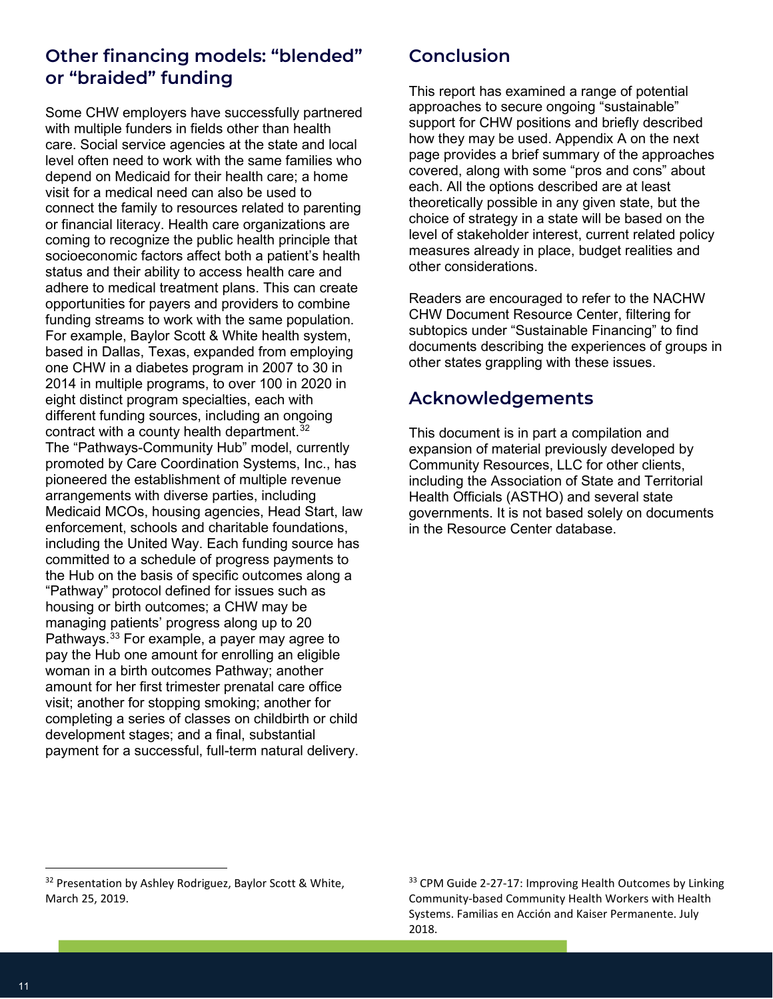## **Other financing models: "blended" or "braided" funding**

Some CHW employers have successfully partnered with multiple funders in fields other than health care. Social service agencies at the state and local level often need to work with the same families who depend on Medicaid for their health care; a home visit for a medical need can also be used to connect the family to resources related to parenting or financial literacy. Health care organizations are coming to recognize the public health principle that socioeconomic factors affect both a patient's health status and their ability to access health care and adhere to medical treatment plans. This can create opportunities for payers and providers to combine funding streams to work with the same population. For example, Baylor Scott & White health system, based in Dallas, Texas, expanded from employing one CHW in a diabetes program in 2007 to 30 in 2014 in multiple programs, to over 100 in 2020 in eight distinct program specialties, each with different funding sources, including an ongoing contract with a county health department.  $32$ The "Pathways-Community Hub" model, currently promoted by Care Coordination Systems, Inc., has pioneered the establishment of multiple revenue arrangements with diverse parties, including Medicaid MCOs, housing agencies, Head Start, law enforcement, schools and charitable foundations, including the United Way. Each funding source has committed to a schedule of progress payments to the Hub on the basis of specific outcomes along a "Pathway" protocol defined for issues such as housing or birth outcomes; a CHW may be managing patients' progress along up to 20 Pathways.33 For example, a payer may agree to pay the Hub one amount for enrolling an eligible woman in a birth outcomes Pathway; another amount for her first trimester prenatal care office visit; another for stopping smoking; another for completing a series of classes on childbirth or child development stages; and a final, substantial payment for a successful, full-term natural delivery.

# **Conclusion**

This report has examined a range of potential approaches to secure ongoing "sustainable" support for CHW positions and briefly described how they may be used. Appendix A on the next page provides a brief summary of the approaches covered, along with some "pros and cons" about each. All the options described are at least theoretically possible in any given state, but the choice of strategy in a state will be based on the level of stakeholder interest, current related policy measures already in place, budget realities and other considerations.

Readers are encouraged to refer to the NACHW CHW Document Resource Center, filtering for subtopics under "Sustainable Financing" to find documents describing the experiences of groups in other states grappling with these issues.

# **Acknowledgements**

This document is in part a compilation and expansion of material previously developed by Community Resources, LLC for other clients, including the Association of State and Territorial Health Officials (ASTHO) and several state governments. It is not based solely on documents in the Resource Center database.

<sup>&</sup>lt;sup>32</sup> Presentation by Ashley Rodriguez, Baylor Scott & White, March 25, 2019.

<sup>&</sup>lt;sup>33</sup> CPM Guide 2-27-17: Improving Health Outcomes by Linking Community-based Community Health Workers with Health Systems. Familias en Acción and Kaiser Permanente. July 2018.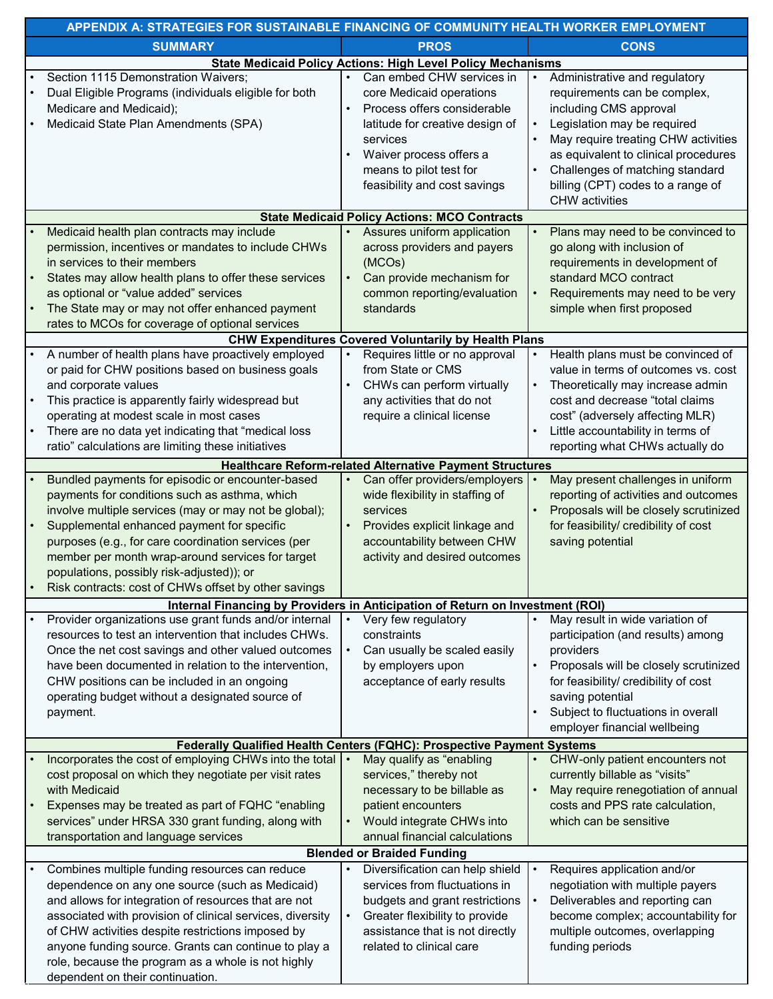| APPENDIX A: STRATEGIES FOR SUSTAINABLE FINANCING OF COMMUNITY HEALTH WORKER EMPLOYMENT |                                                                                                                                                                                                                                                                                                                                                                                                                               |           |                                                                                                                                                                                                                           |  |                                                                                                                                                                                                                                                                               |  |  |  |
|----------------------------------------------------------------------------------------|-------------------------------------------------------------------------------------------------------------------------------------------------------------------------------------------------------------------------------------------------------------------------------------------------------------------------------------------------------------------------------------------------------------------------------|-----------|---------------------------------------------------------------------------------------------------------------------------------------------------------------------------------------------------------------------------|--|-------------------------------------------------------------------------------------------------------------------------------------------------------------------------------------------------------------------------------------------------------------------------------|--|--|--|
|                                                                                        | <b>SUMMARY</b>                                                                                                                                                                                                                                                                                                                                                                                                                |           | <b>PROS</b>                                                                                                                                                                                                               |  | <b>CONS</b>                                                                                                                                                                                                                                                                   |  |  |  |
|                                                                                        |                                                                                                                                                                                                                                                                                                                                                                                                                               |           | <b>State Medicaid Policy Actions: High Level Policy Mechanisms</b>                                                                                                                                                        |  |                                                                                                                                                                                                                                                                               |  |  |  |
| $\bullet$                                                                              | Section 1115 Demonstration Waivers;<br>Dual Eligible Programs (individuals eligible for both<br>Medicare and Medicaid);<br>Medicaid State Plan Amendments (SPA)                                                                                                                                                                                                                                                               | $\bullet$ | Can embed CHW services in<br>core Medicaid operations<br>Process offers considerable<br>latitude for creative design of<br>services<br>Waiver process offers a<br>means to pilot test for<br>feasibility and cost savings |  | Administrative and regulatory<br>requirements can be complex,<br>including CMS approval<br>Legislation may be required<br>May require treating CHW activities<br>as equivalent to clinical procedures<br>Challenges of matching standard<br>billing (CPT) codes to a range of |  |  |  |
|                                                                                        |                                                                                                                                                                                                                                                                                                                                                                                                                               |           | <b>State Medicaid Policy Actions: MCO Contracts</b>                                                                                                                                                                       |  | <b>CHW</b> activities                                                                                                                                                                                                                                                         |  |  |  |
|                                                                                        | Medicaid health plan contracts may include                                                                                                                                                                                                                                                                                                                                                                                    |           | Assures uniform application                                                                                                                                                                                               |  | Plans may need to be convinced to                                                                                                                                                                                                                                             |  |  |  |
|                                                                                        | permission, incentives or mandates to include CHWs<br>in services to their members<br>States may allow health plans to offer these services<br>as optional or "value added" services<br>The State may or may not offer enhanced payment<br>rates to MCOs for coverage of optional services                                                                                                                                    |           | across providers and payers<br>(MCOs)<br>Can provide mechanism for<br>common reporting/evaluation<br>standards                                                                                                            |  | go along with inclusion of<br>requirements in development of<br>standard MCO contract<br>Requirements may need to be very<br>simple when first proposed                                                                                                                       |  |  |  |
|                                                                                        |                                                                                                                                                                                                                                                                                                                                                                                                                               |           | <b>CHW Expenditures Covered Voluntarily by Health Plans</b>                                                                                                                                                               |  |                                                                                                                                                                                                                                                                               |  |  |  |
| ٠<br>$\bullet$                                                                         | A number of health plans have proactively employed<br>or paid for CHW positions based on business goals<br>and corporate values<br>This practice is apparently fairly widespread but<br>operating at modest scale in most cases<br>There are no data yet indicating that "medical loss<br>ratio" calculations are limiting these initiatives                                                                                  |           | Requires little or no approval<br>from State or CMS<br>CHWs can perform virtually<br>any activities that do not<br>require a clinical license                                                                             |  | Health plans must be convinced of<br>value in terms of outcomes vs. cost<br>Theoretically may increase admin<br>cost and decrease "total claims<br>cost" (adversely affecting MLR)<br>Little accountability in terms of<br>reporting what CHWs actually do                    |  |  |  |
|                                                                                        |                                                                                                                                                                                                                                                                                                                                                                                                                               |           | <b>Healthcare Reform-related Alternative Payment Structures</b>                                                                                                                                                           |  |                                                                                                                                                                                                                                                                               |  |  |  |
| $\bullet$                                                                              | Bundled payments for episodic or encounter-based<br>payments for conditions such as asthma, which<br>involve multiple services (may or may not be global);<br>Supplemental enhanced payment for specific<br>purposes (e.g., for care coordination services (per<br>member per month wrap-around services for target<br>populations, possibly risk-adjusted)); or<br>Risk contracts: cost of CHWs offset by other savings      |           | Can offer providers/employers<br>wide flexibility in staffing of<br>services<br>Provides explicit linkage and<br>accountability between CHW<br>activity and desired outcomes                                              |  | May present challenges in uniform<br>reporting of activities and outcomes<br>Proposals will be closely scrutinized<br>for feasibility/ credibility of cost<br>saving potential                                                                                                |  |  |  |
|                                                                                        | Internal Financing by Providers in Anticipation of Return on Investment (ROI)                                                                                                                                                                                                                                                                                                                                                 |           |                                                                                                                                                                                                                           |  |                                                                                                                                                                                                                                                                               |  |  |  |
| payment.                                                                               | Provider organizations use grant funds and/or internal<br>resources to test an intervention that includes CHWs.<br>Once the net cost savings and other valued outcomes<br>have been documented in relation to the intervention,<br>CHW positions can be included in an ongoing<br>operating budget without a designated source of                                                                                             |           | Very few regulatory<br>constraints<br>Can usually be scaled easily<br>by employers upon<br>acceptance of early results                                                                                                    |  | May result in wide variation of<br>participation (and results) among<br>providers<br>Proposals will be closely scrutinized<br>for feasibility/ credibility of cost<br>saving potential<br>Subject to fluctuations in overall<br>employer financial wellbeing                  |  |  |  |
|                                                                                        |                                                                                                                                                                                                                                                                                                                                                                                                                               |           | Federally Qualified Health Centers (FQHC): Prospective Payment Systems                                                                                                                                                    |  |                                                                                                                                                                                                                                                                               |  |  |  |
| with Medicaid                                                                          | Incorporates the cost of employing CHWs into the total   •<br>cost proposal on which they negotiate per visit rates<br>Expenses may be treated as part of FQHC "enabling<br>services" under HRSA 330 grant funding, along with<br>transportation and language services                                                                                                                                                        |           | May qualify as "enabling<br>services," thereby not<br>necessary to be billable as<br>patient encounters<br>Would integrate CHWs into<br>annual financial calculations                                                     |  | CHW-only patient encounters not<br>currently billable as "visits"<br>May require renegotiation of annual<br>costs and PPS rate calculation,<br>which can be sensitive                                                                                                         |  |  |  |
|                                                                                        |                                                                                                                                                                                                                                                                                                                                                                                                                               |           | <b>Blended or Braided Funding</b>                                                                                                                                                                                         |  |                                                                                                                                                                                                                                                                               |  |  |  |
| ٠                                                                                      | Combines multiple funding resources can reduce<br>dependence on any one source (such as Medicaid)<br>and allows for integration of resources that are not<br>associated with provision of clinical services, diversity<br>of CHW activities despite restrictions imposed by<br>anyone funding source. Grants can continue to play a<br>role, because the program as a whole is not highly<br>dependent on their continuation. |           | Diversification can help shield<br>services from fluctuations in<br>budgets and grant restrictions<br>Greater flexibility to provide<br>assistance that is not directly<br>related to clinical care                       |  | Requires application and/or<br>negotiation with multiple payers<br>Deliverables and reporting can<br>become complex; accountability for<br>multiple outcomes, overlapping<br>funding periods                                                                                  |  |  |  |
|                                                                                        |                                                                                                                                                                                                                                                                                                                                                                                                                               |           |                                                                                                                                                                                                                           |  |                                                                                                                                                                                                                                                                               |  |  |  |